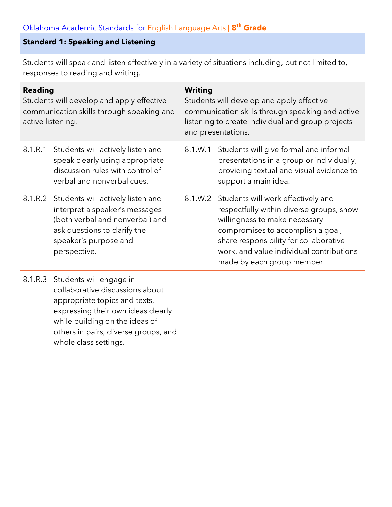### **Standard 1: Speaking and Listening**

Students will speak and listen effectively in a variety of situations including, but not limited to, responses to reading and writing.

| <b>Reading</b><br>Students will develop and apply effective<br>communication skills through speaking and<br>active listening. |                                                                                                                                                                                                                                      | <b>Writing</b><br>Students will develop and apply effective<br>communication skills through speaking and active<br>listening to create individual and group projects<br>and presentations. |                                                                                                                                                                                                                                                                                  |  |
|-------------------------------------------------------------------------------------------------------------------------------|--------------------------------------------------------------------------------------------------------------------------------------------------------------------------------------------------------------------------------------|--------------------------------------------------------------------------------------------------------------------------------------------------------------------------------------------|----------------------------------------------------------------------------------------------------------------------------------------------------------------------------------------------------------------------------------------------------------------------------------|--|
| 8.1.R.1                                                                                                                       | Students will actively listen and<br>speak clearly using appropriate<br>discussion rules with control of<br>verbal and nonverbal cues.                                                                                               | 8.1.W.1                                                                                                                                                                                    | Students will give formal and informal<br>presentations in a group or individually,<br>providing textual and visual evidence to<br>support a main idea.                                                                                                                          |  |
| 8.1.R.2                                                                                                                       | Students will actively listen and<br>interpret a speaker's messages<br>(both verbal and nonverbal) and<br>ask questions to clarify the<br>speaker's purpose and<br>perspective.                                                      |                                                                                                                                                                                            | 8.1.W.2 Students will work effectively and<br>respectfully within diverse groups, show<br>willingness to make necessary<br>compromises to accomplish a goal,<br>share responsibility for collaborative<br>work, and value individual contributions<br>made by each group member. |  |
| 8.1.R.3                                                                                                                       | Students will engage in<br>collaborative discussions about<br>appropriate topics and texts,<br>expressing their own ideas clearly<br>while building on the ideas of<br>others in pairs, diverse groups, and<br>whole class settings. |                                                                                                                                                                                            |                                                                                                                                                                                                                                                                                  |  |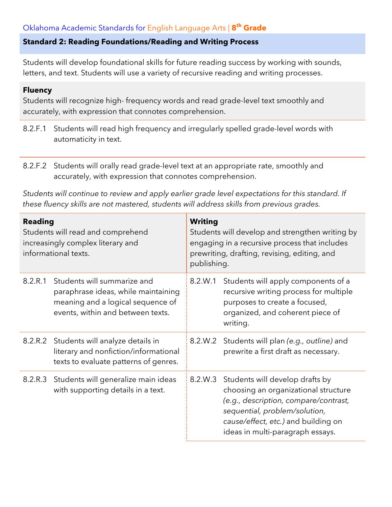#### **Standard 2: Reading Foundations/Reading and Writing Process**

Students will develop foundational skills for future reading success by working with sounds, letters, and text. Students will use a variety of recursive reading and writing processes.

#### **Fluency**

Students will recognize high- frequency words and read grade-level text smoothly and accurately, with expression that connotes comprehension.

- 8.2.F.1 Students will read high frequency and irregularly spelled grade-level words with automaticity in text.
- 8.2.F.2 Students will orally read grade-level text at an appropriate rate, smoothly and accurately, with expression that connotes comprehension.

*Students will continue to review and apply earlier grade level expectations for this standard. If these fluency skills are not mastered, students will address skills from previous grades.*

| <b>Reading</b><br>Students will read and comprehend<br>increasingly complex literary and<br>informational texts. |                                                                                                                                              | <b>Writing</b><br>Students will develop and strengthen writing by<br>engaging in a recursive process that includes<br>prewriting, drafting, revising, editing, and<br>publishing. |                                                                                                                                                                                                                              |  |
|------------------------------------------------------------------------------------------------------------------|----------------------------------------------------------------------------------------------------------------------------------------------|-----------------------------------------------------------------------------------------------------------------------------------------------------------------------------------|------------------------------------------------------------------------------------------------------------------------------------------------------------------------------------------------------------------------------|--|
| 8.2.R.1                                                                                                          | Students will summarize and<br>paraphrase ideas, while maintaining<br>meaning and a logical sequence of<br>events, within and between texts. | 8.2.W.1                                                                                                                                                                           | Students will apply components of a<br>recursive writing process for multiple<br>purposes to create a focused,<br>organized, and coherent piece of<br>writing.                                                               |  |
|                                                                                                                  | 8.2.R.2 Students will analyze details in<br>literary and nonfiction/informational<br>texts to evaluate patterns of genres.                   | 8.2.W.2                                                                                                                                                                           | Students will plan (e.g., outline) and<br>prewrite a first draft as necessary.                                                                                                                                               |  |
|                                                                                                                  | 8.2.R.3 Students will generalize main ideas<br>with supporting details in a text.                                                            | 8.2.W.3                                                                                                                                                                           | Students will develop drafts by<br>choosing an organizational structure<br>(e.g., description, compare/contrast,<br>sequential, problem/solution,<br>cause/effect, etc.) and building on<br>ideas in multi-paragraph essays. |  |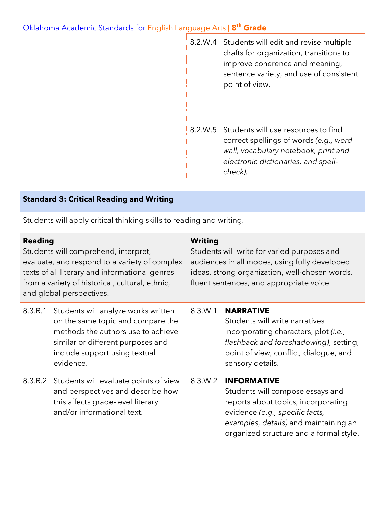|  | 8.2.W.4 Students will edit and revise multiple<br>drafts for organization, transitions to<br>improve coherence and meaning,<br>sentence variety, and use of consistent<br>point of view. |
|--|------------------------------------------------------------------------------------------------------------------------------------------------------------------------------------------|
|  | 8.2.W.5 Students will use resources to find<br>correct spellings of words (e.g., word<br>wall, vocabulary notebook, print and<br>electronic dictionaries, and spell-<br>check).          |

### **Standard 3: Critical Reading and Writing**

Students will apply critical thinking skills to reading and writing.

| <b>Reading</b><br>Students will comprehend, interpret,<br>evaluate, and respond to a variety of complex<br>texts of all literary and informational genres<br>from a variety of historical, cultural, ethnic,<br>and global perspectives. |                                                                                                                                                                                                   | <b>Writing</b><br>Students will write for varied purposes and<br>audiences in all modes, using fully developed<br>ideas, strong organization, well-chosen words,<br>fluent sentences, and appropriate voice. |                                                                                                                                                                                                                      |
|------------------------------------------------------------------------------------------------------------------------------------------------------------------------------------------------------------------------------------------|---------------------------------------------------------------------------------------------------------------------------------------------------------------------------------------------------|--------------------------------------------------------------------------------------------------------------------------------------------------------------------------------------------------------------|----------------------------------------------------------------------------------------------------------------------------------------------------------------------------------------------------------------------|
| 8.3.R.1                                                                                                                                                                                                                                  | Students will analyze works written<br>on the same topic and compare the<br>methods the authors use to achieve<br>similar or different purposes and<br>include support using textual<br>evidence. | 8.3.W.1                                                                                                                                                                                                      | <b>NARRATIVE</b><br>Students will write narratives<br>incorporating characters, plot <i>(i.e.</i> ,<br>flashback and foreshadowing), setting,<br>point of view, conflict, dialogue, and<br>sensory details.          |
|                                                                                                                                                                                                                                          | 8.3.R.2 Students will evaluate points of view<br>and perspectives and describe how<br>this affects grade-level literary<br>and/or informational text.                                             | 8.3.W.2                                                                                                                                                                                                      | <b>INFORMATIVE</b><br>Students will compose essays and<br>reports about topics, incorporating<br>evidence (e.g., specific facts,<br>examples, details) and maintaining an<br>organized structure and a formal style. |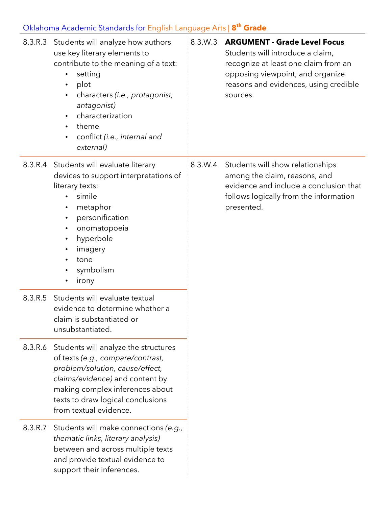|         | 8.3.R.3 Students will analyze how authors<br>use key literary elements to<br>contribute to the meaning of a text:<br>setting<br>$\bullet$<br>plot<br>$\bullet$<br>characters ( <i>i.e.</i> , protagonist,<br>antagonist)<br>characterization<br>$\bullet$<br>theme<br>$\bullet$<br>conflict (i.e., internal and<br>external) | 8.3.W.3 | <b>ARGUMENT - Grade Level Focus</b><br>Students will introduce a claim,<br>recognize at least one claim from an<br>opposing viewpoint, and organize<br>reasons and evidences, using credible<br>sources. |
|---------|------------------------------------------------------------------------------------------------------------------------------------------------------------------------------------------------------------------------------------------------------------------------------------------------------------------------------|---------|----------------------------------------------------------------------------------------------------------------------------------------------------------------------------------------------------------|
|         | 8.3.R.4 Students will evaluate literary<br>devices to support interpretations of<br>literary texts:<br>simile<br>$\bullet$<br>metaphor<br>$\bullet$<br>personification<br>$\bullet$<br>onomatopoeia<br>$\bullet$<br>hyperbole<br>$\bullet$<br>imagery<br>٠<br>tone<br>symbolism<br>irony<br>٠                                | 8.3.W.4 | Students will show relationships<br>among the claim, reasons, and<br>evidence and include a conclusion that<br>follows logically from the information<br>presented.                                      |
| 8.3.R.5 | Students will evaluate textual<br>evidence to determine whether a<br>claim is substantiated or<br>unsubstantiated.                                                                                                                                                                                                           |         |                                                                                                                                                                                                          |
| 8.3.R.6 | Students will analyze the structures<br>of texts (e.g., compare/contrast,<br>problem/solution, cause/effect,<br>claims/evidence) and content by<br>making complex inferences about<br>texts to draw logical conclusions<br>from textual evidence.                                                                            |         |                                                                                                                                                                                                          |
| 8.3.R.7 | Students will make connections (e.g.,<br>thematic links, literary analysis)<br>between and across multiple texts<br>and provide textual evidence to<br>support their inferences.                                                                                                                                             |         |                                                                                                                                                                                                          |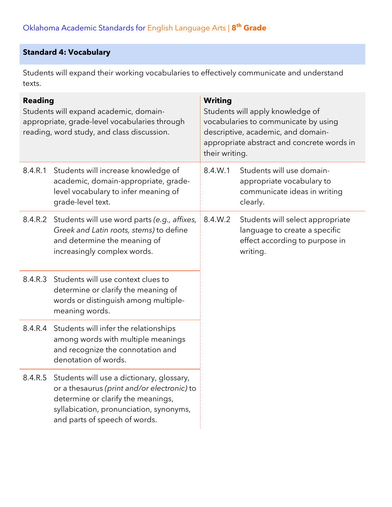### **Standard 4: Vocabulary**

Students will expand their working vocabularies to effectively communicate and understand texts.

| <b>Reading</b><br>Students will expand academic, domain-<br>appropriate, grade-level vocabularies through<br>reading, word study, and class discussion. |                                                                                                                                                                                                                    | <b>Writing</b><br>Students will apply knowledge of<br>vocabularies to communicate by using<br>descriptive, academic, and domain-<br>appropriate abstract and concrete words in<br>their writing. |                                                                                                                 |
|---------------------------------------------------------------------------------------------------------------------------------------------------------|--------------------------------------------------------------------------------------------------------------------------------------------------------------------------------------------------------------------|--------------------------------------------------------------------------------------------------------------------------------------------------------------------------------------------------|-----------------------------------------------------------------------------------------------------------------|
| 8.4.R.1                                                                                                                                                 | Students will increase knowledge of<br>academic, domain-appropriate, grade-<br>level vocabulary to infer meaning of<br>grade-level text.                                                                           | 8.4.W.1                                                                                                                                                                                          | Students will use domain-<br>appropriate vocabulary to<br>communicate ideas in writing<br>clearly.              |
| 8.4.R.2                                                                                                                                                 | Students will use word parts (e.g., affixes,<br>Greek and Latin roots, stems) to define<br>and determine the meaning of<br>increasingly complex words.                                                             | 8.4.W.2                                                                                                                                                                                          | Students will select appropriate<br>language to create a specific<br>effect according to purpose in<br>writing. |
| 8.4.R.3                                                                                                                                                 | Students will use context clues to<br>determine or clarify the meaning of<br>words or distinguish among multiple-<br>meaning words.                                                                                |                                                                                                                                                                                                  |                                                                                                                 |
| 8.4.R.4                                                                                                                                                 | Students will infer the relationships<br>among words with multiple meanings<br>and recognize the connotation and<br>denotation of words.                                                                           |                                                                                                                                                                                                  |                                                                                                                 |
|                                                                                                                                                         | 8.4.R.5 Students will use a dictionary, glossary,<br>or a thesaurus (print and/or electronic) to<br>determine or clarify the meanings,<br>syllabication, pronunciation, synonyms,<br>and parts of speech of words. |                                                                                                                                                                                                  |                                                                                                                 |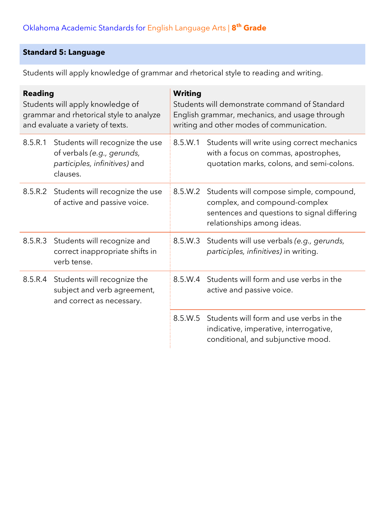## **Standard 5: Language**

Students will apply knowledge of grammar and rhetorical style to reading and writing.

| <b>Reading</b><br>Students will apply knowledge of<br>grammar and rhetorical style to analyze<br>and evaluate a variety of texts. |                                                                                                            | <b>Writing</b><br>Students will demonstrate command of Standard<br>English grammar, mechanics, and usage through<br>writing and other modes of communication. |                                                                                                                                                       |  |
|-----------------------------------------------------------------------------------------------------------------------------------|------------------------------------------------------------------------------------------------------------|---------------------------------------------------------------------------------------------------------------------------------------------------------------|-------------------------------------------------------------------------------------------------------------------------------------------------------|--|
| 8.5.R.1                                                                                                                           | Students will recognize the use<br>of verbals (e.g., gerunds,<br>participles, infinitives) and<br>clauses. | 8.5.W.1                                                                                                                                                       | Students will write using correct mechanics<br>with a focus on commas, apostrophes,<br>quotation marks, colons, and semi-colons.                      |  |
|                                                                                                                                   | 8.5.R.2 Students will recognize the use<br>of active and passive voice.                                    | 8.5.W.2                                                                                                                                                       | Students will compose simple, compound,<br>complex, and compound-complex<br>sentences and questions to signal differing<br>relationships among ideas. |  |
| 8.5.R.3                                                                                                                           | Students will recognize and<br>correct inappropriate shifts in<br>verb tense.                              | 8.5.W.3                                                                                                                                                       | Students will use verbals (e.g., gerunds,<br>participles, infinitives) in writing.                                                                    |  |
|                                                                                                                                   | 8.5.R.4 Students will recognize the<br>subject and verb agreement,<br>and correct as necessary.            | 8.5.W.4                                                                                                                                                       | Students will form and use verbs in the<br>active and passive voice.                                                                                  |  |
|                                                                                                                                   |                                                                                                            | 8.5.W.5                                                                                                                                                       | Students will form and use verbs in the<br>indicative, imperative, interrogative,<br>conditional, and subjunctive mood.                               |  |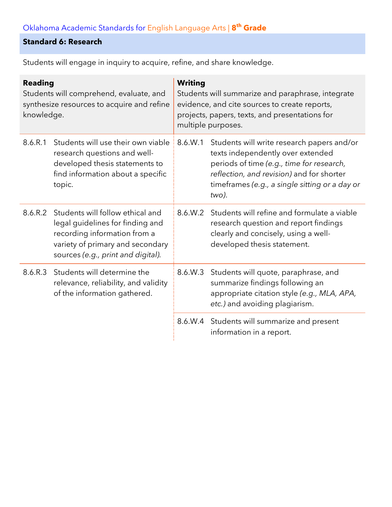#### **Standard 6: Research**

| <b>Reading</b><br>Students will comprehend, evaluate, and<br>synthesize resources to acquire and refine<br>knowledge. |                                                                                                                                                                                | <b>Writing</b><br>Students will summarize and paraphrase, integrate<br>evidence, and cite sources to create reports,<br>projects, papers, texts, and presentations for<br>multiple purposes. |                                                                                                                                                                                                                                      |  |
|-----------------------------------------------------------------------------------------------------------------------|--------------------------------------------------------------------------------------------------------------------------------------------------------------------------------|----------------------------------------------------------------------------------------------------------------------------------------------------------------------------------------------|--------------------------------------------------------------------------------------------------------------------------------------------------------------------------------------------------------------------------------------|--|
| 8.6.R.1                                                                                                               | Students will use their own viable<br>research questions and well-<br>developed thesis statements to<br>find information about a specific<br>topic.                            | 8.6.W.1                                                                                                                                                                                      | Students will write research papers and/or<br>texts independently over extended<br>periods of time (e.g., time for research,<br>reflection, and revision) and for shorter<br>timeframes (e.g., a single sitting or a day or<br>two). |  |
| 8.6.R.2                                                                                                               | Students will follow ethical and<br>legal guidelines for finding and<br>recording information from a<br>variety of primary and secondary<br>sources (e.g., print and digital). | 8.6.W.2                                                                                                                                                                                      | Students will refine and formulate a viable<br>research question and report findings<br>clearly and concisely, using a well-<br>developed thesis statement.                                                                          |  |
| 8.6.R.3                                                                                                               | Students will determine the<br>relevance, reliability, and validity<br>of the information gathered.                                                                            | 8.6.W.3                                                                                                                                                                                      | Students will quote, paraphrase, and<br>summarize findings following an<br>appropriate citation style (e.g., MLA, APA,<br>etc.) and avoiding plagiarism.                                                                             |  |
|                                                                                                                       |                                                                                                                                                                                |                                                                                                                                                                                              | 8.6.W.4 Students will summarize and present<br>information in a report.                                                                                                                                                              |  |

Students will engage in inquiry to acquire, refine, and share knowledge.